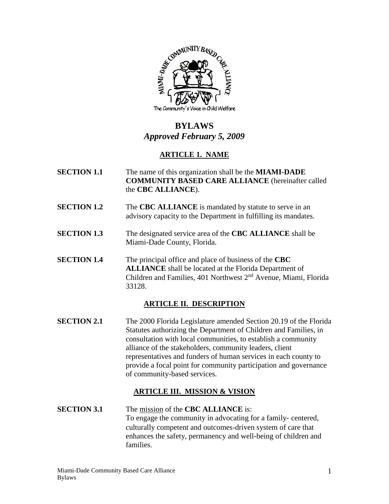

# **BYLAWS** *Approved February 5, 2009*

# **ARTICLE 1. NAME**

- **SECTION 1.1** The name of this organization shall be the **MIAMI-DADE COMMUNITY BASED CARE ALLIANCE** (hereinafter called the **CBC ALLIANCE**).
- **SECTION 1.2** The **CBC ALLIANCE** is mandated by statute to serve in an advisory capacity to the Department in fulfilling its mandates.
- **SECTION 1.3** The designated service area of the **CBC ALLIANCE** shall be Miami-Dade County, Florida.
- **SECTION 1.4** The principal office and place of business of the **CBC ALLIANCE** shall be located at the Florida Department of Children and Families, 401 Northwest 2nd Avenue, Miami, Florida 33128.

#### **ARTICLE II. DESCRIPTION**

**SECTION 2.1** The 2000 Florida Legislature amended Section 20.19 of the Florida Statutes authorizing the Department of Children and Families, in consultation with local communities, to establish a community alliance of the stakeholders, community leaders, client representatives and funders of human services in each county to provide a focal point for community participation and governance of community-based services.

# **ARTICLE III. MISSION & VISION**

**SECTION 3.1** The mission of the **CBC ALLIANCE** is: To engage the community in advocating for a family‐ centered, culturally competent and outcomes-driven system of care that enhances the safety, permanency and well-being of children and families.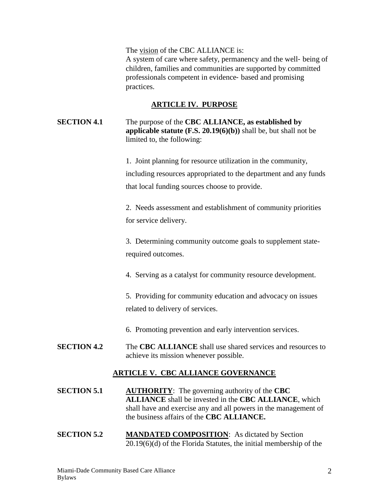The vision of the CBC ALLIANCE is: A system of care where safety, permanency and the well‐ being of children, families and communities are supported by committed professionals competent in evidence‐ based and promising practices.

#### **ARTICLE IV. PURPOSE**

**SECTION 4.1** The purpose of the **CBC ALLIANCE, as established by applicable statute (F.S. 20.19(6)(b))** shall be, but shall not be limited to, the following:

> 1. Joint planning for resource utilization in the community, including resources appropriated to the department and any funds that local funding sources choose to provide.

2. Needs assessment and establishment of community priorities for service delivery.

3. Determining community outcome goals to supplement staterequired outcomes.

4. Serving as a catalyst for community resource development.

5. Providing for community education and advocacy on issues related to delivery of services.

6. Promoting prevention and early intervention services.

**SECTION 4.2** The **CBC ALLIANCE** shall use shared services and resources to achieve its mission whenever possible.

# **ARTICLE V. CBC ALLIANCE GOVERNANCE**

- **SECTION 5.1 AUTHORITY**: The governing authority of the **CBC ALLIANCE** shall be invested in the **CBC ALLIANCE**, which shall have and exercise any and all powers in the management of the business affairs of the **CBC ALLIANCE.**
- **SECTION 5.2 MANDATED COMPOSITION:** As dictated by Section 20.19(6)(d) of the Florida Statutes, the initial membership of the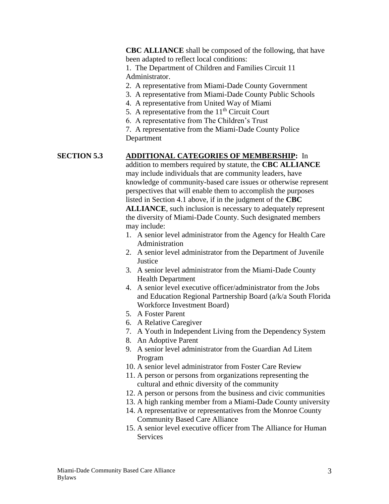**CBC ALLIANCE** shall be composed of the following, that have been adapted to reflect local conditions:

1. The Department of Children and Families Circuit 11 Administrator.

2. A representative from Miami-Dade County Government

- 3. A representative from Miami-Dade County Public Schools
- 4. A representative from United Way of Miami
- 5. A representative from the  $11<sup>th</sup>$  Circuit Court
- 6. A representative from The Children's Trust

7. A representative from the Miami-Dade County Police Department

## **SECTION 5.3 ADDITIONAL CATEGORIES OF MEMBERSHIP:** In

addition to members required by statute, the **CBC ALLIANCE** may include individuals that are community leaders, have knowledge of community-based care issues or otherwise represent perspectives that will enable them to accomplish the purposes listed in Section 4.1 above, if in the judgment of the **CBC** 

**ALLIANCE**, such inclusion is necessary to adequately represent the diversity of Miami-Dade County. Such designated members may include:

- 1. A senior level administrator from the Agency for Health Care Administration
- 2. A senior level administrator from the Department of Juvenile **Justice**
- 3. A senior level administrator from the Miami-Dade County Health Department
- 4. A senior level executive officer/administrator from the Jobs and Education Regional Partnership Board (a/k/a South Florida Workforce Investment Board)
- 5. A Foster Parent
- 6. A Relative Caregiver
- 7. A Youth in Independent Living from the Dependency System
- 8. An Adoptive Parent
- 9. A senior level administrator from the Guardian Ad Litem Program
- 10. A senior level administrator from Foster Care Review
- 11. A person or persons from organizations representing the cultural and ethnic diversity of the community
- 12. A person or persons from the business and civic communities
- 13. A high ranking member from a Miami-Dade County university
- 14. A representative or representatives from the Monroe County Community Based Care Alliance
- 15. A senior level executive officer from The Alliance for Human **Services**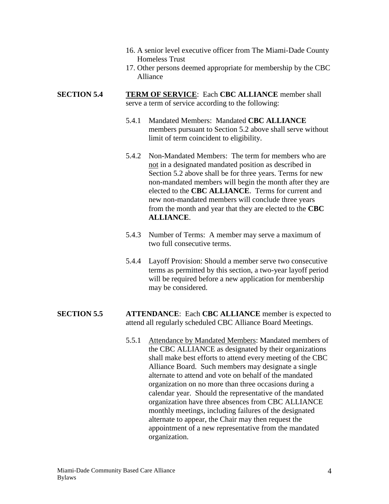- 16. A senior level executive officer from The Miami-Dade County Homeless Trust
- 17. Other persons deemed appropriate for membership by the CBC Alliance

#### **SECTION 5.4 TERM OF SERVICE:** Each **CBC ALLIANCE** member shall serve a term of service according to the following:

- 5.4.1 Mandated Members: Mandated **CBC ALLIANCE** members pursuant to Section 5.2 above shall serve without limit of term coincident to eligibility.
- 5.4.2 Non-Mandated Members: The term for members who are not in a designated mandated position as described in Section 5.2 above shall be for three years. Terms for new non-mandated members will begin the month after they are elected to the **CBC ALLIANCE**. Terms for current and new non-mandated members will conclude three years from the month and year that they are elected to the **CBC ALLIANCE**.
- 5.4.3 Number of Terms: A member may serve a maximum of two full consecutive terms.
- 5.4.4 Layoff Provision: Should a member serve two consecutive terms as permitted by this section, a two-year layoff period will be required before a new application for membership may be considered.

#### **SECTION 5.5 ATTENDANCE**: Each **CBC ALLIANCE** member is expected to attend all regularly scheduled CBC Alliance Board Meetings.

5.5.1 Attendance by Mandated Members: Mandated members of the CBC ALLIANCE as designated by their organizations shall make best efforts to attend every meeting of the CBC Alliance Board. Such members may designate a single alternate to attend and vote on behalf of the mandated organization on no more than three occasions during a calendar year. Should the representative of the mandated organization have three absences from CBC ALLIANCE monthly meetings, including failures of the designated alternate to appear, the Chair may then request the appointment of a new representative from the mandated organization.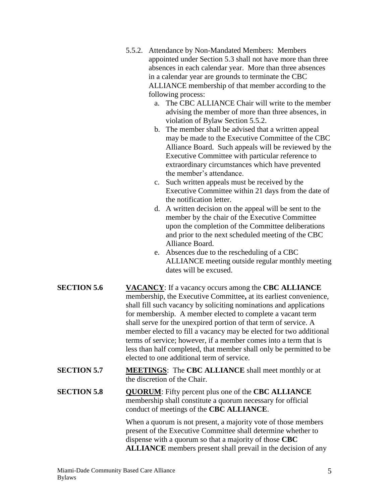- 5.5.2. Attendance by Non-Mandated Members: Members appointed under Section 5.3 shall not have more than three absences in each calendar year. More than three absences in a calendar year are grounds to terminate the CBC ALLIANCE membership of that member according to the following process:
	- a. The CBC ALLIANCE Chair will write to the member advising the member of more than three absences, in violation of Bylaw Section 5.5.2.
	- b. The member shall be advised that a written appeal may be made to the Executive Committee of the CBC Alliance Board. Such appeals will be reviewed by the Executive Committee with particular reference to extraordinary circumstances which have prevented the member's attendance.
	- c. Such written appeals must be received by the Executive Committee within 21 days from the date of the notification letter.
	- d. A written decision on the appeal will be sent to the member by the chair of the Executive Committee upon the completion of the Committee deliberations and prior to the next scheduled meeting of the CBC Alliance Board.
	- e. Absences due to the rescheduling of a CBC ALLIANCE meeting outside regular monthly meeting dates will be excused.
- **SECTION 5.6 VACANCY**: If a vacancy occurs among the **CBC ALLIANCE** membership, the Executive Committee**,** at its earliest convenience, shall fill such vacancy by soliciting nominations and applications for membership. A member elected to complete a vacant term shall serve for the unexpired portion of that term of service. A member elected to fill a vacancy may be elected for two additional terms of service; however, if a member comes into a term that is less than half completed, that member shall only be permitted to be elected to one additional term of service.
- **SECTION 5.7 MEETINGS**: The **CBC ALLIANCE** shall meet monthly or at the discretion of the Chair.
- **SECTION 5.8 QUORUM**: Fifty percent plus one of the **CBC ALLIANCE** membership shall constitute a quorum necessary for official conduct of meetings of the **CBC ALLIANCE**.

When a quorum is not present, a majority vote of those members present of the Executive Committee shall determine whether to dispense with a quorum so that a majority of those **CBC ALLIANCE** members present shall prevail in the decision of any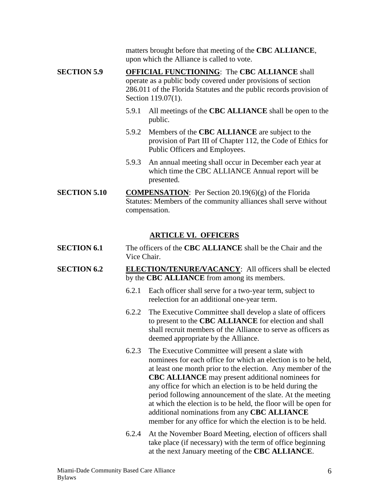matters brought before that meeting of the **CBC ALLIANCE**, upon which the Alliance is called to vote.

- **SECTION 5.9 OFFICIAL FUNCTIONING**: The **CBC ALLIANCE** shall operate as a public body covered under provisions of section 286.011 of the Florida Statutes and the public records provision of Section 119.07(1).
	- 5.9.1 All meetings of the **CBC ALLIANCE** shall be open to the public.
	- 5.9.2 Members of the **CBC ALLIANCE** are subject to the provision of Part III of Chapter 112, the Code of Ethics for Public Officers and Employees.
	- 5.9.3 An annual meeting shall occur in December each year at which time the CBC ALLIANCE Annual report will be presented.
- **SECTION 5.10 COMPENSATION**: Per Section 20.19(6)(g) of the Florida Statutes: Members of the community alliances shall serve without compensation.

## **ARTICLE VI. OFFICERS**

- **SECTION 6.1** The officers of the **CBC ALLIANCE** shall be the Chair and the Vice Chair.
- **SECTION 6.2 ELECTION/TENURE/VACANCY**: All officers shall be elected by the **CBC ALLIANCE** from among its members.
	- 6.2.1 Each officer shall serve for a two-year term, subject to reelection for an additional one-year term.
	- 6.2.2 The Executive Committee shall develop a slate of officers to present to the **CBC ALLIANCE** for election and shall shall recruit members of the Alliance to serve as officers as deemed appropriate by the Alliance.
	- 6.2.3 The Executive Committee will present a slate with nominees for each office for which an election is to be held, at least one month prior to the election. Any member of the **CBC ALLIANCE** may present additional nominees for any office for which an election is to be held during the period following announcement of the slate. At the meeting at which the election is to be held, the floor will be open for additional nominations from any **CBC ALLIANCE** member for any office for which the election is to be held.
	- 6.2.4 At the November Board Meeting, election of officers shall take place (if necessary) with the term of office beginning at the next January meeting of the **CBC ALLIANCE**.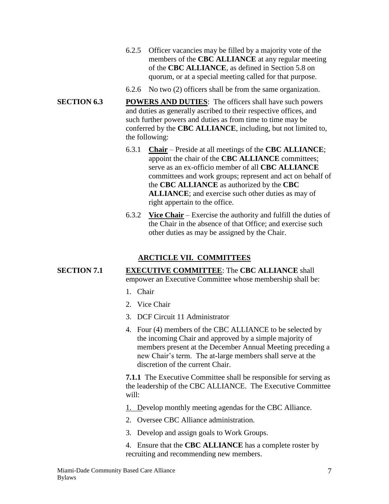- 6.2.5 Officer vacancies may be filled by a majority vote of the members of the **CBC ALLIANCE** at any regular meeting of the **CBC ALLIANCE**, as defined in Section 5.8 on quorum, or at a special meeting called for that purpose.
- 6.2.6 No two (2) officers shall be from the same organization.
- **SECTION 6.3 POWERS AND DUTIES**: The officers shall have such powers and duties as generally ascribed to their respective offices, and such further powers and duties as from time to time may be conferred by the **CBC ALLIANCE**, including, but not limited to, the following:
	- 6.3.1 **Chair** Preside at all meetings of the **CBC ALLIANCE**; appoint the chair of the **CBC ALLIANCE** committees; serve as an ex-officio member of all **CBC ALLIANCE** committees and work groups; represent and act on behalf of the **CBC ALLIANCE** as authorized by the **CBC ALLIANCE**; and exercise such other duties as may of right appertain to the office.
	- 6.3.2 **Vice Chair** Exercise the authority and fulfill the duties of the Chair in the absence of that Office; and exercise such other duties as may be assigned by the Chair.

# **ARCTICLE VII. COMMITTEES**

# **SECTION 7.1 EXECUTIVE COMMITTEE**: The **CBC ALLIANCE** shall

empower an Executive Committee whose membership shall be:

- 1. Chair
- 2. Vice Chair
- 3. DCF Circuit 11 Administrator
- 4. Four (4) members of the CBC ALLIANCE to be selected by the incoming Chair and approved by a simple majority of members present at the December Annual Meeting preceding a new Chair's term. The at-large members shall serve at the discretion of the current Chair.

**7.1.1** The Executive Committee shall be responsible for serving as the leadership of the CBC ALLIANCE. The Executive Committee will:

1. Develop monthly meeting agendas for the CBC Alliance.

- 2. Oversee CBC Alliance administration.
- 3. Develop and assign goals to Work Groups.
- 4. Ensure that the **CBC ALLIANCE** has a complete roster by recruiting and recommending new members.